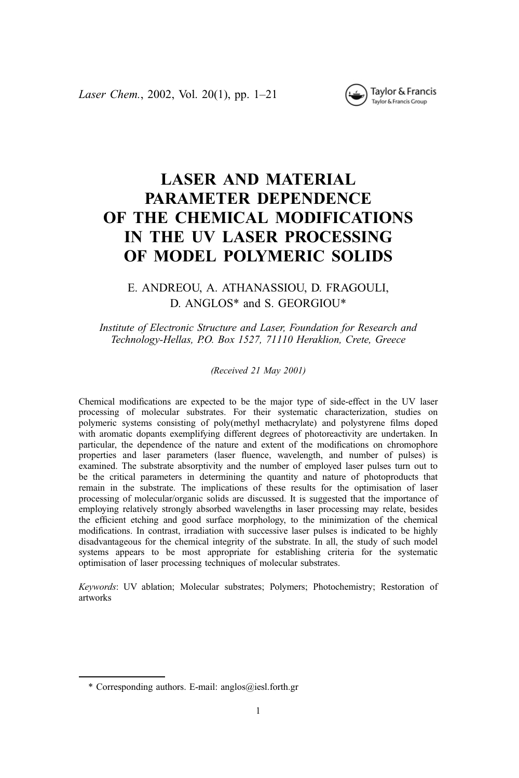Laser Chem., 2002, Vol. 20(1), pp. 1–21



# LASER AND MATERIAL PARAMETER DEPENDENCE OF THE CHEMICAL MODIFICATIONS IN THE UV LASER PROCESSING OF MODEL POLYMERIC SOLIDS

## E. ANDREOU, A. ATHANASSIOU, D. FRAGOULI, D. ANGLOS\* and S. GEORGIOU\*

Institute of Electronic Structure and Laser, Foundation for Research and Technology-Hellas, P.O. Box 1527, 71110 Heraklion, Crete, Greece

(Received 21 May 2001)

Chemical modifications are expected to be the major type of side-effect in the UV laser processing of molecular substrates. For their systematic characterization, studies on polymeric systems consisting of poly(methyl methacrylate) and polystyrene films doped with aromatic dopants exemplifying different degrees of photoreactivity are undertaken. In particular, the dependence of the nature and extent of the modifications on chromophore properties and laser parameters (laser fluence, wavelength, and number of pulses) is examined. The substrate absorptivity and the number of employed laser pulses turn out to be the critical parameters in determining the quantity and nature of photoproducts that remain in the substrate. The implications of these results for the optimisation of laser processing of molecular/organic solids are discussed. It is suggested that the importance of employing relatively strongly absorbed wavelengths in laser processing may relate, besides the efficient etching and good surface morphology, to the minimization of the chemical modifications. In contrast, irradiation with successive laser pulses is indicated to be highly disadvantageous for the chemical integrity of the substrate. In all, the study of such model systems appears to be most appropriate for establishing criteria for the systematic optimisation of laser processing techniques of molecular substrates.

Keywords: UV ablation; Molecular substrates; Polymers; Photochemistry; Restoration of artworks

<sup>\*</sup> Corresponding authors. E-mail: anglos@iesl.forth.gr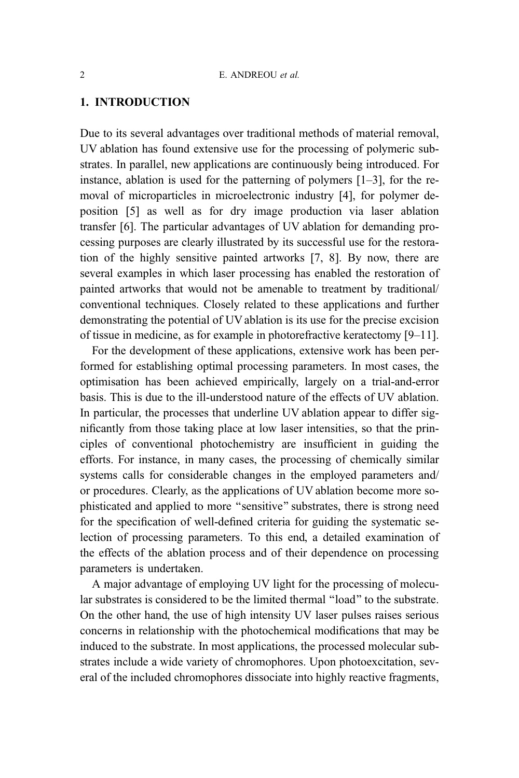#### 2 E. ANDREOU et al.

## 1. INTRODUCTION

Due to its several advantages over traditional methods of material removal, UV ablation has found extensive use for the processing of polymeric substrates. In parallel, new applications are continuously being introduced. For instance, ablation is used for the patterning of polymers [1–3], for the removal of microparticles in microelectronic industry [4], for polymer deposition [5] as well as for dry image production via laser ablation transfer [6]. The particular advantages of UV ablation for demanding processing purposes are clearly illustrated by its successful use for the restoration of the highly sensitive painted artworks [7, 8]. By now, there are several examples in which laser processing has enabled the restoration of painted artworks that would not be amenable to treatment by traditional/ conventional techniques. Closely related to these applications and further demonstrating the potential of UV ablation is its use for the precise excision of tissue in medicine, as for example in photorefractive keratectomy [9–11].

For the development of these applications, extensive work has been performed for establishing optimal processing parameters. In most cases, the optimisation has been achieved empirically, largely on a trial-and-error basis. This is due to the ill-understood nature of the effects of UV ablation. In particular, the processes that underline UV ablation appear to differ significantly from those taking place at low laser intensities, so that the principles of conventional photochemistry are insufficient in guiding the efforts. For instance, in many cases, the processing of chemically similar systems calls for considerable changes in the employed parameters and/ or procedures. Clearly, as the applications of UV ablation become more sophisticated and applied to more ''sensitive''substrates, there is strong need for the specification of well-defined criteria for guiding the systematic selection of processing parameters. To this end, a detailed examination of the effects of the ablation process and of their dependence on processing parameters is undertaken.

A major advantage of employing UV light for the processing of molecular substrates is considered to be the limited thermal ''load'' to the substrate. On the other hand, the use of high intensity UV laser pulses raises serious concerns in relationship with the photochemical modifications that may be induced to the substrate. In most applications, the processed molecular substrates include a wide variety of chromophores. Upon photoexcitation, several of the included chromophores dissociate into highly reactive fragments,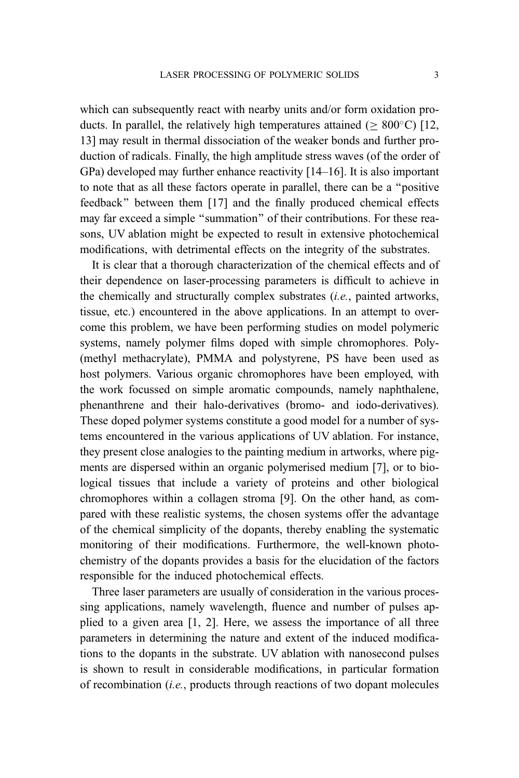which can subsequently react with nearby units and/or form oxidation products. In parallel, the relatively high temperatures attained ( $\geq 800^{\circ}$ C) [12, 13] may result in thermal dissociation of the weaker bonds and further production of radicals. Finally, the high amplitude stress waves (of the order of GPa) developed may further enhance reactivity [14–16]. It is also important to note that as all these factors operate in parallel, there can be a ''positive feedback'' between them [17] and the finally produced chemical effects may far exceed a simple ''summation'' of their contributions. For these reasons, UV ablation might be expected to result in extensive photochemical modifications, with detrimental effects on the integrity of the substrates.

It is clear that a thorough characterization of the chemical effects and of their dependence on laser-processing parameters is difficult to achieve in the chemically and structurally complex substrates (i.e., painted artworks, tissue, etc.) encountered in the above applications. In an attempt to overcome this problem, we have been performing studies on model polymeric systems, namely polymer films doped with simple chromophores. Poly- (methyl methacrylate), PMMA and polystyrene, PS have been used as host polymers. Various organic chromophores have been employed, with the work focussed on simple aromatic compounds, namely naphthalene, phenanthrene and their halo-derivatives (bromo- and iodo-derivatives). These doped polymer systems constitute a good model for a number of systems encountered in the various applications of UV ablation. For instance, they present close analogies to the painting medium in artworks, where pigments are dispersed within an organic polymerised medium [7], or to biological tissues that include a variety of proteins and other biological chromophores within a collagen stroma [9]. On the other hand, as compared with these realistic systems, the chosen systems offer the advantage of the chemical simplicity of the dopants, thereby enabling the systematic monitoring of their modifications. Furthermore, the well-known photochemistry of the dopants provides a basis for the elucidation of the factors responsible for the induced photochemical effects.

Three laser parameters are usually of consideration in the various processing applications, namely wavelength, fluence and number of pulses applied to a given area [1, 2]. Here, we assess the importance of all three parameters in determining the nature and extent of the induced modifications to the dopants in the substrate. UV ablation with nanosecond pulses is shown to result in considerable modifications, in particular formation of recombination (i.e., products through reactions of two dopant molecules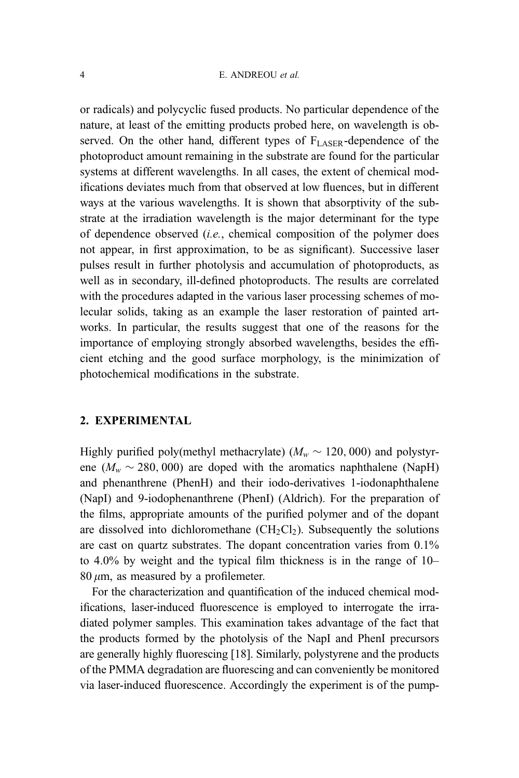#### 4 E. ANDREOU et al.

or radicals) and polycyclic fused products. No particular dependence of the nature, at least of the emitting products probed here, on wavelength is observed. On the other hand, different types of  $F_{LASER}$ -dependence of the photoproduct amount remaining in the substrate are found for the particular systems at different wavelengths. In all cases, the extent of chemical modifications deviates much from that observed at low fluences, but in different ways at the various wavelengths. It is shown that absorptivity of the substrate at the irradiation wavelength is the major determinant for the type of dependence observed (i.e., chemical composition of the polymer does not appear, in first approximation, to be as significant). Successive laser pulses result in further photolysis and accumulation of photoproducts, as well as in secondary, ill-defined photoproducts. The results are correlated with the procedures adapted in the various laser processing schemes of molecular solids, taking as an example the laser restoration of painted artworks. In particular, the results suggest that one of the reasons for the importance of employing strongly absorbed wavelengths, besides the efficient etching and the good surface morphology, is the minimization of photochemical modifications in the substrate.

## 2. EXPERIMENTAL

Highly purified poly(methyl methacrylate) ( $M_w \sim 120,000$ ) and polystyrene ( $M_w \sim 280,000$ ) are doped with the aromatics naphthalene (NapH) and phenanthrene (PhenH) and their iodo-derivatives 1-iodonaphthalene (NapI) and 9-iodophenanthrene (PhenI) (Aldrich). For the preparation of the films, appropriate amounts of the purified polymer and of the dopant are dissolved into dichloromethane  $(CH_2Cl_2)$ . Subsequently the solutions are cast on quartz substrates. The dopant concentration varies from 0.1% to 4.0% by weight and the typical film thickness is in the range of 10–  $80 \mu m$ , as measured by a profilemeter.

For the characterization and quantification of the induced chemical modifications, laser-induced fluorescence is employed to interrogate the irradiated polymer samples. This examination takes advantage of the fact that the products formed by the photolysis of the NapI and PhenI precursors are generally highly fluorescing [18]. Similarly, polystyrene and the products of the PMMA degradation are fluorescing and can conveniently be monitored via laser-induced fluorescence. Accordingly the experiment is of the pump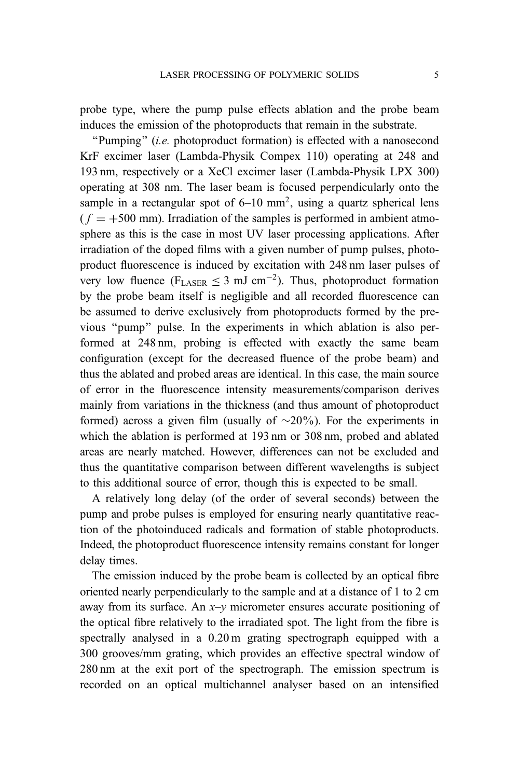probe type, where the pump pulse effects ablation and the probe beam induces the emission of the photoproducts that remain in the substrate.

''Pumping'' (i.e. photoproduct formation) is effected with a nanosecond KrF excimer laser (Lambda-Physik Compex 110) operating at 248 and 193 nm, respectively or a XeCl excimer laser (Lambda-Physik LPX 300) operating at 308 nm. The laser beam is focused perpendicularly onto the sample in a rectangular spot of  $6-10$  mm<sup>2</sup>, using a quartz spherical lens  $(f = +500 \text{ mm})$ . Irradiation of the samples is performed in ambient atmosphere as this is the case in most UV laser processing applications. After irradiation of the doped films with a given number of pump pulses, photoproduct fluorescence is induced by excitation with 248 nm laser pulses of very low fluence  $(F_{LASER} \leq 3 \text{ mJ cm}^{-2})$ . Thus, photoproduct formation by the probe beam itself is negligible and all recorded fluorescence can be assumed to derive exclusively from photoproducts formed by the previous ''pump'' pulse. In the experiments in which ablation is also performed at 248 nm, probing is effected with exactly the same beam configuration (except for the decreased fluence of the probe beam) and thus the ablated and probed areas are identical. In this case, the main source of error in the fluorescence intensity measurements/comparison derives mainly from variations in the thickness (and thus amount of photoproduct formed) across a given film (usually of  $\sim 20\%$ ). For the experiments in which the ablation is performed at 193 nm or 308 nm, probed and ablated areas are nearly matched. However, differences can not be excluded and thus the quantitative comparison between different wavelengths is subject to this additional source of error, though this is expected to be small.

A relatively long delay (of the order of several seconds) between the pump and probe pulses is employed for ensuring nearly quantitative reaction of the photoinduced radicals and formation of stable photoproducts. Indeed, the photoproduct fluorescence intensity remains constant for longer delay times.

The emission induced by the probe beam is collected by an optical fibre oriented nearly perpendicularly to the sample and at a distance of 1 to 2 cm away from its surface. An  $x-y$  micrometer ensures accurate positioning of the optical fibre relatively to the irradiated spot. The light from the fibre is spectrally analysed in a 0.20 m grating spectrograph equipped with a 300 grooves/mm grating, which provides an effective spectral window of 280 nm at the exit port of the spectrograph. The emission spectrum is recorded on an optical multichannel analyser based on an intensified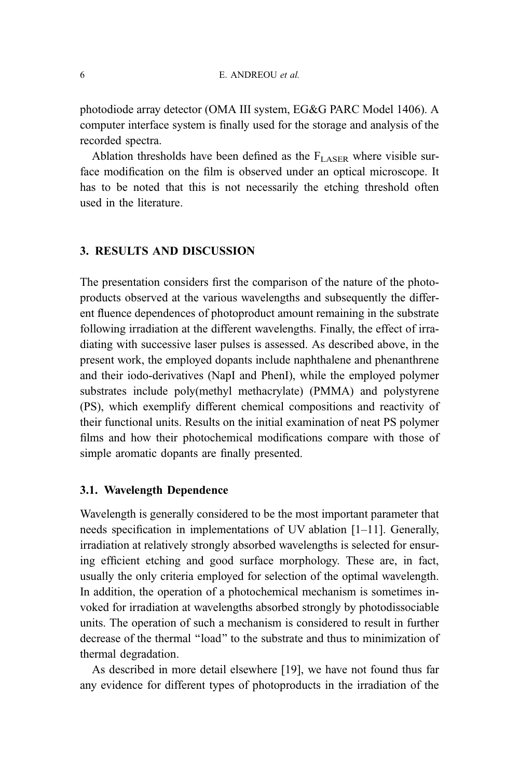photodiode array detector (OMA III system, EG&G PARC Model 1406). A computer interface system is finally used for the storage and analysis of the recorded spectra.

Ablation thresholds have been defined as the  $F_{\text{LASER}}$  where visible surface modification on the film is observed under an optical microscope. It has to be noted that this is not necessarily the etching threshold often used in the literature.

## 3. RESULTS AND DISCUSSION

The presentation considers first the comparison of the nature of the photoproducts observed at the various wavelengths and subsequently the different fluence dependences of photoproduct amount remaining in the substrate following irradiation at the different wavelengths. Finally, the effect of irradiating with successive laser pulses is assessed. As described above, in the present work, the employed dopants include naphthalene and phenanthrene and their iodo-derivatives (NapI and PhenI), while the employed polymer substrates include poly(methyl methacrylate) (PMMA) and polystyrene (PS), which exemplify different chemical compositions and reactivity of their functional units. Results on the initial examination of neat PS polymer films and how their photochemical modifications compare with those of simple aromatic dopants are finally presented.

#### 3.1. Wavelength Dependence

Wavelength is generally considered to be the most important parameter that needs specification in implementations of UV ablation [1–11]. Generally, irradiation at relatively strongly absorbed wavelengths is selected for ensuring efficient etching and good surface morphology. These are, in fact, usually the only criteria employed for selection of the optimal wavelength. In addition, the operation of a photochemical mechanism is sometimes invoked for irradiation at wavelengths absorbed strongly by photodissociable units. The operation of such a mechanism is considered to result in further decrease of the thermal ''load'' to the substrate and thus to minimization of thermal degradation.

As described in more detail elsewhere [19], we have not found thus far any evidence for different types of photoproducts in the irradiation of the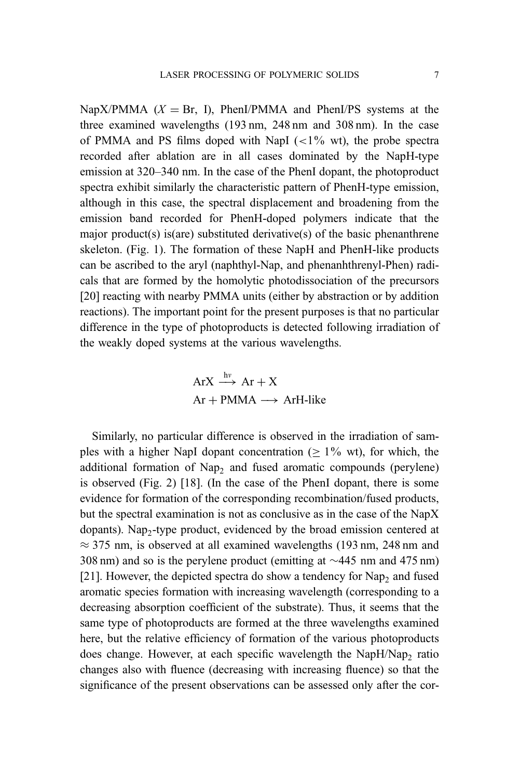NapX/PMMA  $(X = Br, I)$ , PhenI/PMMA and PhenI/PS systems at the three examined wavelengths (193 nm, 248 nm and 308 nm). In the case of PMMA and PS films doped with NapI  $\left($  <1% wt), the probe spectra recorded after ablation are in all cases dominated by the NapH-type emission at 320–340 nm. In the case of the PhenI dopant, the photoproduct spectra exhibit similarly the characteristic pattern of PhenH-type emission, although in this case, the spectral displacement and broadening from the emission band recorded for PhenH-doped polymers indicate that the major product(s) is(are) substituted derivative(s) of the basic phenanthrene skeleton. (Fig. 1). The formation of these NapH and PhenH-like products can be ascribed to the aryl (naphthyl-Nap, and phenanhthrenyl-Phen) radicals that are formed by the homolytic photodissociation of the precursors [20] reacting with nearby PMMA units (either by abstraction or by addition reactions). The important point for the present purposes is that no particular difference in the type of photoproducts is detected following irradiation of the weakly doped systems at the various wavelengths.

$$
ArX \xrightarrow{hv} Ar + X
$$
  
Ar + PMMA \longrightarrow ArH-like

Similarly, no particular difference is observed in the irradiation of samples with a higher NapI dopant concentration ( $\geq 1\%$  wt), for which, the additional formation of Nap<sub>2</sub> and fused aromatic compounds (perylene) is observed (Fig. 2) [18]. (In the case of the PhenI dopant, there is some evidence for formation of the corresponding recombination/fused products, but the spectral examination is not as conclusive as in the case of the NapX dopants). Nap<sub>2</sub>-type product, evidenced by the broad emission centered at  $\approx$  375 nm, is observed at all examined wavelengths (193 nm, 248 nm and 308 nm) and so is the perylene product (emitting at  $\sim$ 445 nm and 475 nm) [21]. However, the depicted spectra do show a tendency for  $Nap_2$  and fused aromatic species formation with increasing wavelength (corresponding to a decreasing absorption coefficient of the substrate). Thus, it seems that the same type of photoproducts are formed at the three wavelengths examined here, but the relative efficiency of formation of the various photoproducts does change. However, at each specific wavelength the NapH/Nap<sub>2</sub> ratio changes also with fluence (decreasing with increasing fluence) so that the significance of the present observations can be assessed only after the cor-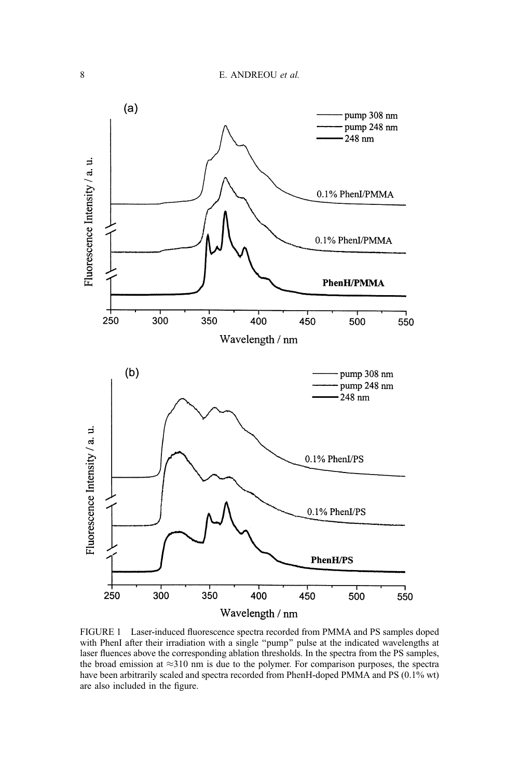

FIGURE 1 Laser-induced fluorescence spectra recorded from PMMA and PS samples doped with PhenI after their irradiation with a single ''pump'' pulse at the indicated wavelengths at laser fluences above the corresponding ablation thresholds. In the spectra from the PS samples, the broad emission at  $\approx$ 310 nm is due to the polymer. For comparison purposes, the spectra have been arbitrarily scaled and spectra recorded from PhenH-doped PMMA and PS (0.1% wt) are also included in the figure.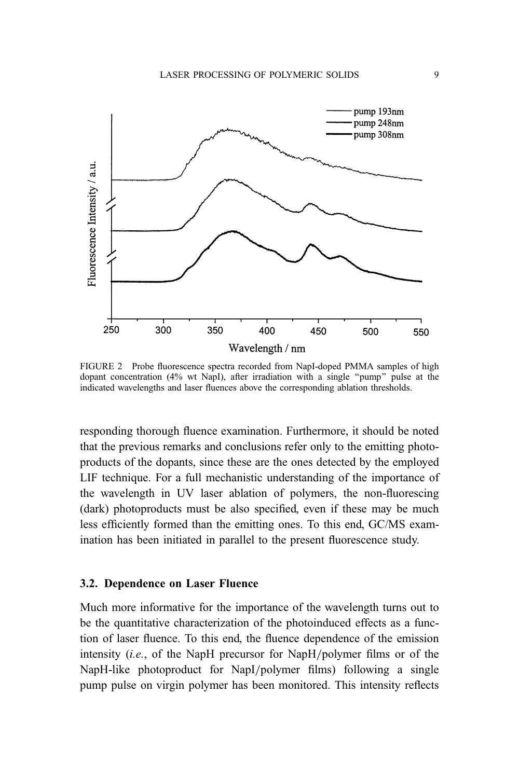

FIGURE 2 Probe fluorescence spectra recorded from NapI-doped PMMA samples of high dopant concentration (4% wt NapI), after irradiation with a single ''pump'' pulse at the indicated wavelengths and laser fluences above the corresponding ablation thresholds.

responding thorough fluence examination. Furthermore, it should be noted that the previous remarks and conclusions refer only to the emitting photoproducts of the dopants, since these are the ones detected by the employed LIF technique. For a full mechanistic understanding of the importance of the wavelength in UV laser ablation of polymers, the non-fluorescing (dark) photoproducts must be also specified, even if these may be much less efficiently formed than the emitting ones. To this end, GC/MS examination has been initiated in parallel to the present fluorescence study.

#### 3.2. Dependence on Laser Fluence

Much more informative for the importance of the wavelength turns out to be the quantitative characterization of the photoinduced effects as a function of laser fluence. To this end, the fluence dependence of the emission intensity (i.e., of the NapH precursor for NapH/polymer films or of the NapH-like photoproduct for NapI/polymer films) following a single pump pulse on virgin polymer has been monitored. This intensity reflects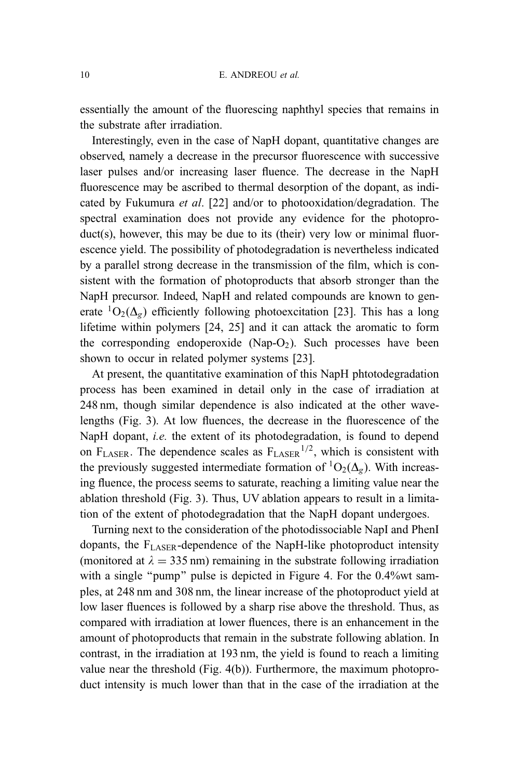essentially the amount of the fluorescing naphthyl species that remains in the substrate after irradiation.

Interestingly, even in the case of NapH dopant, quantitative changes are observed, namely a decrease in the precursor fluorescence with successive laser pulses and/or increasing laser fluence. The decrease in the NapH fluorescence may be ascribed to thermal desorption of the dopant, as indicated by Fukumura et al. [22] and/or to photooxidation/degradation. The spectral examination does not provide any evidence for the photoproduct(s), however, this may be due to its (their) very low or minimal fluorescence yield. The possibility of photodegradation is nevertheless indicated by a parallel strong decrease in the transmission of the film, which is consistent with the formation of photoproducts that absorb stronger than the NapH precursor. Indeed, NapH and related compounds are known to generate  ${}^{1}O_{2}(\Delta_{\varphi})$  efficiently following photoexcitation [23]. This has a long lifetime within polymers [24, 25] and it can attack the aromatic to form the corresponding endoperoxide (Nap- $O<sub>2</sub>$ ). Such processes have been shown to occur in related polymer systems [23].

At present, the quantitative examination of this NapH phtotodegradation process has been examined in detail only in the case of irradiation at 248 nm, though similar dependence is also indicated at the other wavelengths (Fig. 3). At low fluences, the decrease in the fluorescence of the NapH dopant, i.e. the extent of its photodegradation, is found to depend on  $F_{\text{LASER}}$ . The dependence scales as  $F_{\text{LASER}}^{1/2}$ , which is consistent with the previously suggested intermediate formation of  ${}^{1}O_{2}(\Delta_{\sigma})$ . With increasing fluence, the process seems to saturate, reaching a limiting value near the ablation threshold (Fig. 3). Thus, UV ablation appears to result in a limitation of the extent of photodegradation that the NapH dopant undergoes.

Turning next to the consideration of the photodissociable NapI and PhenI dopants, the  $F_{\text{LASER}}$ -dependence of the NapH-like photoproduct intensity (monitored at  $\lambda = 335$  nm) remaining in the substrate following irradiation with a single "pump" pulse is depicted in Figure 4. For the  $0.4\%$  wt samples, at 248 nm and 308 nm, the linear increase of the photoproduct yield at low laser fluences is followed by a sharp rise above the threshold. Thus, as compared with irradiation at lower fluences, there is an enhancement in the amount of photoproducts that remain in the substrate following ablation. In contrast, in the irradiation at 193 nm, the yield is found to reach a limiting value near the threshold (Fig. 4(b)). Furthermore, the maximum photoproduct intensity is much lower than that in the case of the irradiation at the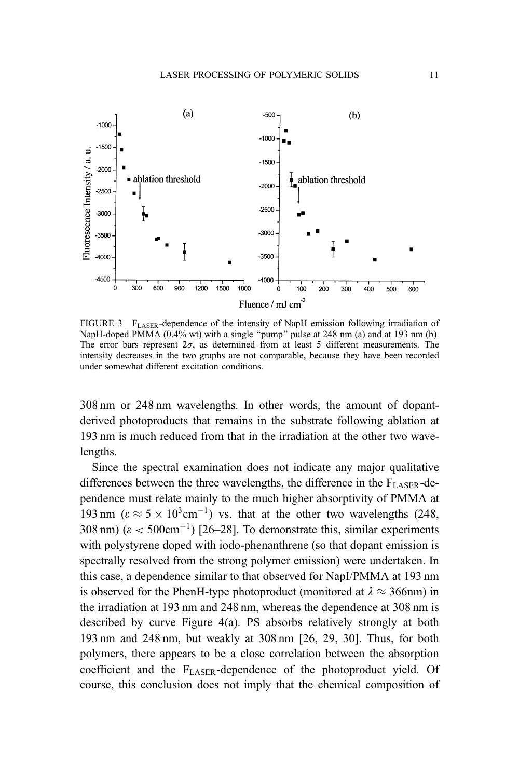

FIGURE 3 FLASER-dependence of the intensity of NapH emission following irradiation of NapH-doped PMMA (0.4% wt) with a single "pump" pulse at 248 nm (a) and at 193 nm (b). The error bars represent  $2\sigma$ , as determined from at least 5 different measurements. The intensity decreases in the two graphs are not comparable, because they have been recorded under somewhat different excitation conditions.

308 nm or 248 nm wavelengths. In other words, the amount of dopantderived photoproducts that remains in the substrate following ablation at 193 nm is much reduced from that in the irradiation at the other two wavelengths.

Since the spectral examination does not indicate any major qualitative differences between the three wavelengths, the difference in the  $F_{\text{LASER}}$ -dependence must relate mainly to the much higher absorptivity of PMMA at 193 nm ( $\varepsilon \approx 5 \times 10^3$ cm<sup>-1</sup>) vs. that at the other two wavelengths (248, 308 nm) ( $\epsilon$  < 500 cm<sup>-1</sup>) [26–28]. To demonstrate this, similar experiments with polystyrene doped with iodo-phenanthrene (so that dopant emission is spectrally resolved from the strong polymer emission) were undertaken. In this case, a dependence similar to that observed for NapI/PMMA at 193 nm is observed for the PhenH-type photoproduct (monitored at  $\lambda \approx 366$ nm) in the irradiation at 193 nm and 248 nm, whereas the dependence at 308 nm is described by curve Figure 4(a). PS absorbs relatively strongly at both 193 nm and 248 nm, but weakly at 308 nm [26, 29, 30]. Thus, for both polymers, there appears to be a close correlation between the absorption coefficient and the FLASER-dependence of the photoproduct yield. Of course, this conclusion does not imply that the chemical composition of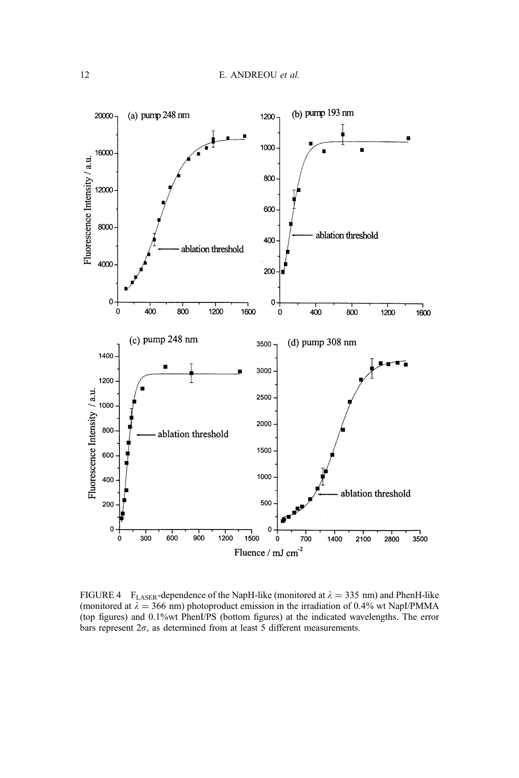

FIGURE 4 F<sub>LASER</sub>-dependence of the NapH-like (monitored at  $\lambda = 335$  nm) and PhenH-like (monitored at  $\lambda = 366$  nm) photoproduct emission in the irradiation of 0.4% wt NapI/PMMA (top figures) and 0.1%wt PhenI/PS (bottom figures) at the indicated wavelengths. The error bars represent  $2\sigma$ , as determined from at least 5 different measurements.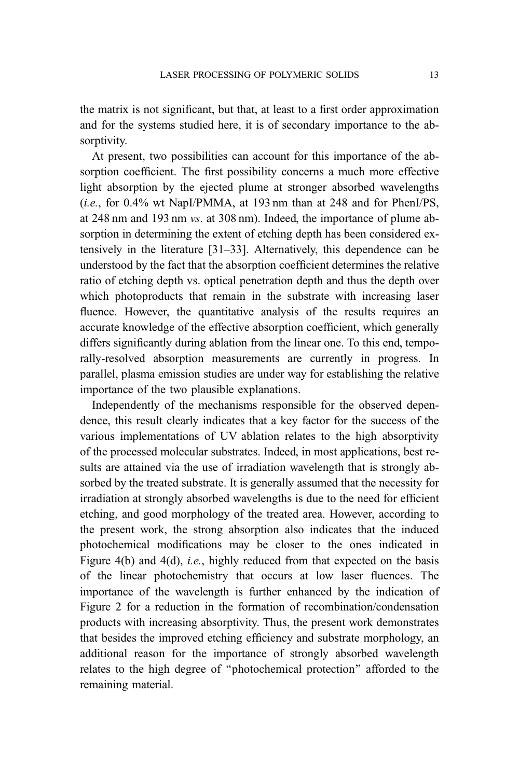the matrix is not significant, but that, at least to a first order approximation and for the systems studied here, it is of secondary importance to the absorptivity.

At present, two possibilities can account for this importance of the absorption coefficient. The first possibility concerns a much more effective light absorption by the ejected plume at stronger absorbed wavelengths (i.e., for 0.4% wt NapI/PMMA, at 193 nm than at 248 and for PhenI/PS, at 248 nm and 193 nm vs. at 308 nm). Indeed, the importance of plume absorption in determining the extent of etching depth has been considered extensively in the literature [31–33]. Alternatively, this dependence can be understood by the fact that the absorption coefficient determines the relative ratio of etching depth vs. optical penetration depth and thus the depth over which photoproducts that remain in the substrate with increasing laser fluence. However, the quantitative analysis of the results requires an accurate knowledge of the effective absorption coefficient, which generally differs significantly during ablation from the linear one. To this end, temporally-resolved absorption measurements are currently in progress. In parallel, plasma emission studies are under way for establishing the relative importance of the two plausible explanations.

Independently of the mechanisms responsible for the observed dependence, this result clearly indicates that a key factor for the success of the various implementations of UV ablation relates to the high absorptivity of the processed molecular substrates. Indeed, in most applications, best results are attained via the use of irradiation wavelength that is strongly absorbed by the treated substrate. It is generally assumed that the necessity for irradiation at strongly absorbed wavelengths is due to the need for efficient etching, and good morphology of the treated area. However, according to the present work, the strong absorption also indicates that the induced photochemical modifications may be closer to the ones indicated in Figure 4(b) and 4(d), *i.e.*, highly reduced from that expected on the basis of the linear photochemistry that occurs at low laser fluences. The importance of the wavelength is further enhanced by the indication of Figure 2 for a reduction in the formation of recombination/condensation products with increasing absorptivity. Thus, the present work demonstrates that besides the improved etching efficiency and substrate morphology, an additional reason for the importance of strongly absorbed wavelength relates to the high degree of ''photochemical protection'' afforded to the remaining material.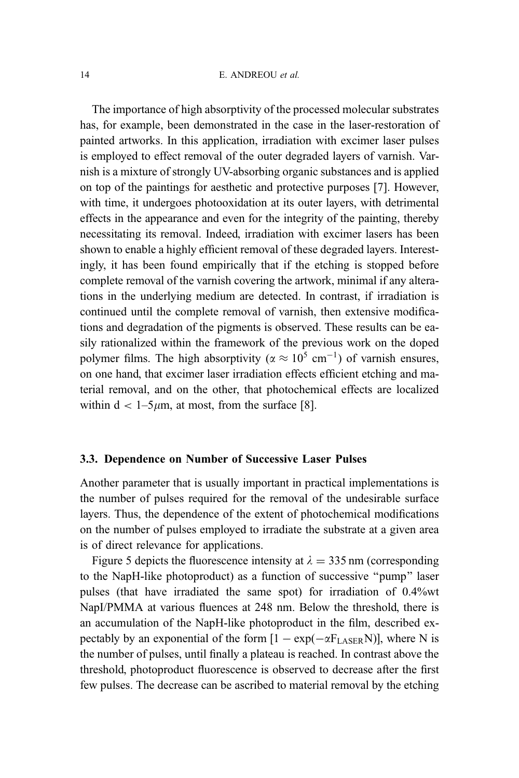#### 14 E. ANDREOU et al.

The importance of high absorptivity of the processed molecular substrates has, for example, been demonstrated in the case in the laser-restoration of painted artworks. In this application, irradiation with excimer laser pulses is employed to effect removal of the outer degraded layers of varnish. Varnish is a mixture of strongly UV-absorbing organic substances and is applied on top of the paintings for aesthetic and protective purposes [7]. However, with time, it undergoes photooxidation at its outer layers, with detrimental effects in the appearance and even for the integrity of the painting, thereby necessitating its removal. Indeed, irradiation with excimer lasers has been shown to enable a highly efficient removal of these degraded layers. Interestingly, it has been found empirically that if the etching is stopped before complete removal of the varnish covering the artwork, minimal if any alterations in the underlying medium are detected. In contrast, if irradiation is continued until the complete removal of varnish, then extensive modifications and degradation of the pigments is observed. These results can be easily rationalized within the framework of the previous work on the doped polymer films. The high absorptivity ( $\alpha \approx 10^5$  cm<sup>-1</sup>) of varnish ensures, on one hand, that excimer laser irradiation effects efficient etching and material removal, and on the other, that photochemical effects are localized within  $d < 1-5\mu m$ , at most, from the surface [8].

#### 3.3. Dependence on Number of Successive Laser Pulses

Another parameter that is usually important in practical implementations is the number of pulses required for the removal of the undesirable surface layers. Thus, the dependence of the extent of photochemical modifications on the number of pulses employed to irradiate the substrate at a given area is of direct relevance for applications.

Figure 5 depicts the fluorescence intensity at  $\lambda = 335$  nm (corresponding to the NapH-like photoproduct) as a function of successive ''pump'' laser pulses (that have irradiated the same spot) for irradiation of 0.4%wt NapI/PMMA at various fluences at 248 nm. Below the threshold, there is an accumulation of the NapH-like photoproduct in the film, described expectably by an exponential of the form  $[1 - \exp(-\alpha F_{\text{LASER}} N)]$ , where N is the number of pulses, until finally a plateau is reached. In contrast above the threshold, photoproduct fluorescence is observed to decrease after the first few pulses. The decrease can be ascribed to material removal by the etching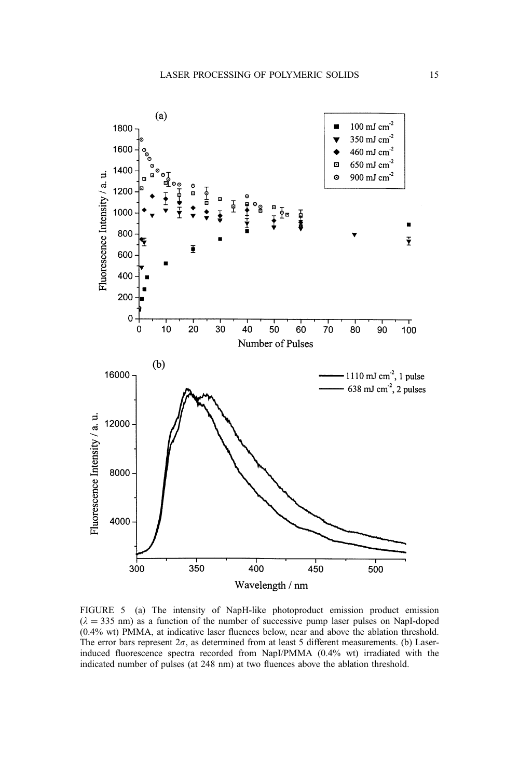

FIGURE 5 (a) The intensity of NapH-like photoproduct emission product emission  $(\lambda = 335 \text{ nm})$  as a function of the number of successive pump laser pulses on NapI-doped (0.4% wt) PMMA, at indicative laser fluences below, near and above the ablation threshold. The error bars represent  $2\sigma$ , as determined from at least 5 different measurements. (b) Laserinduced fluorescence spectra recorded from NapI/PMMA (0.4% wt) irradiated with the indicated number of pulses (at 248 nm) at two fluences above the ablation threshold.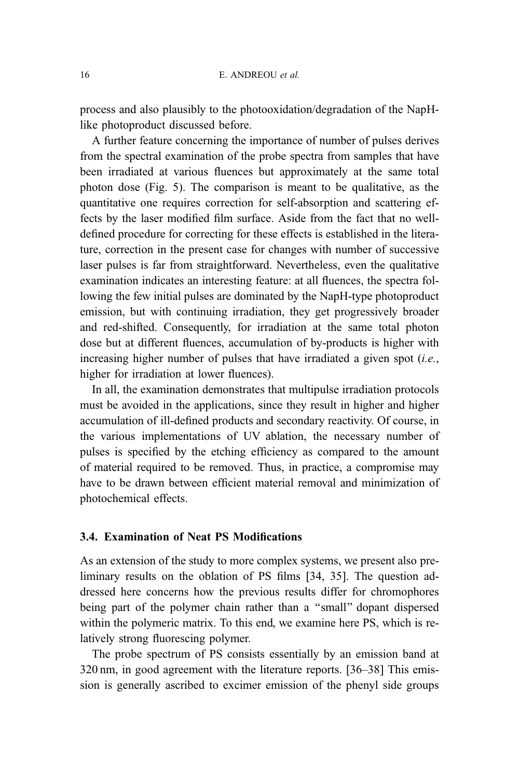process and also plausibly to the photooxidation/degradation of the NapHlike photoproduct discussed before.

A further feature concerning the importance of number of pulses derives from the spectral examination of the probe spectra from samples that have been irradiated at various fluences but approximately at the same total photon dose (Fig. 5). The comparison is meant to be qualitative, as the quantitative one requires correction for self-absorption and scattering effects by the laser modified film surface. Aside from the fact that no welldefined procedure for correcting for these effects is established in the literature, correction in the present case for changes with number of successive laser pulses is far from straightforward. Nevertheless, even the qualitative examination indicates an interesting feature: at all fluences, the spectra following the few initial pulses are dominated by the NapH-type photoproduct emission, but with continuing irradiation, they get progressively broader and red-shifted. Consequently, for irradiation at the same total photon dose but at different fluences, accumulation of by-products is higher with increasing higher number of pulses that have irradiated a given spot  $(i.e.,$ higher for irradiation at lower fluences).

In all, the examination demonstrates that multipulse irradiation protocols must be avoided in the applications, since they result in higher and higher accumulation of ill-defined products and secondary reactivity. Of course, in the various implementations of UV ablation, the necessary number of pulses is specified by the etching efficiency as compared to the amount of material required to be removed. Thus, in practice, a compromise may have to be drawn between efficient material removal and minimization of photochemical effects.

## 3.4. Examination of Neat PS Modifications

As an extension of the study to more complex systems, we present also preliminary results on the oblation of PS films [34, 35]. The question addressed here concerns how the previous results differ for chromophores being part of the polymer chain rather than a ''small'' dopant dispersed within the polymeric matrix. To this end, we examine here PS, which is relatively strong fluorescing polymer.

The probe spectrum of PS consists essentially by an emission band at 320 nm, in good agreement with the literature reports. [36–38] This emission is generally ascribed to excimer emission of the phenyl side groups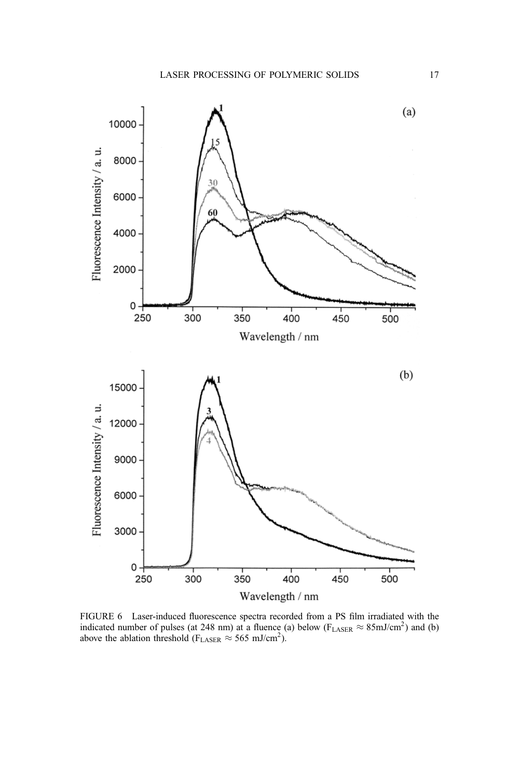

FIGURE 6 Laser-induced fluorescence spectra recorded from a PS film irradiated with the indicated number of pulses (at 248 nm) at a fluence (a) below ( $F_{\text{LASER}} \approx 85 \text{mJ/cm}^2$ ) and (b) above the ablation threshold ( $F_{\text$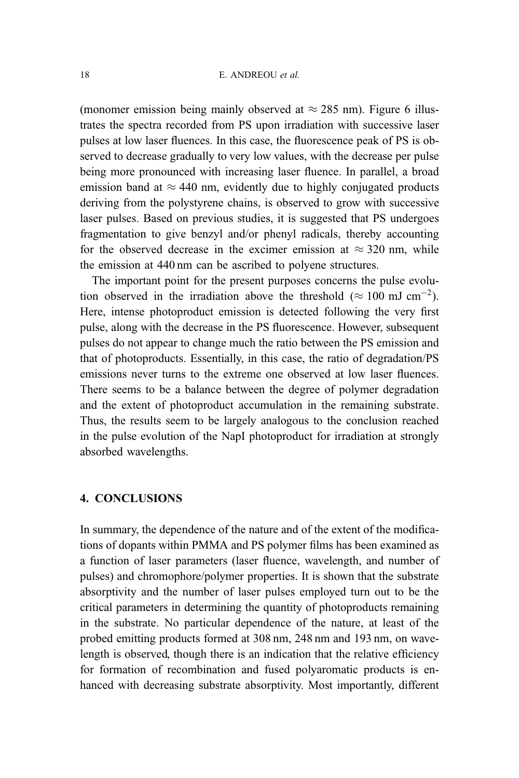(monomer emission being mainly observed at  $\approx 285$  nm). Figure 6 illustrates the spectra recorded from PS upon irradiation with successive laser pulses at low laser fluences. In this case, the fluorescence peak of PS is observed to decrease gradually to very low values, with the decrease per pulse being more pronounced with increasing laser fluence. In parallel, a broad emission band at  $\approx 440$  nm, evidently due to highly conjugated products deriving from the polystyrene chains, is observed to grow with successive laser pulses. Based on previous studies, it is suggested that PS undergoes fragmentation to give benzyl and/or phenyl radicals, thereby accounting for the observed decrease in the excimer emission at  $\approx$  320 nm, while the emission at 440 nm can be ascribed to polyene structures.

The important point for the present purposes concerns the pulse evolution observed in the irradiation above the threshold ( $\approx 100$  mJ cm<sup>-2</sup>). Here, intense photoproduct emission is detected following the very first pulse, along with the decrease in the PS fluorescence. However, subsequent pulses do not appear to change much the ratio between the PS emission and that of photoproducts. Essentially, in this case, the ratio of degradation/PS emissions never turns to the extreme one observed at low laser fluences. There seems to be a balance between the degree of polymer degradation and the extent of photoproduct accumulation in the remaining substrate. Thus, the results seem to be largely analogous to the conclusion reached in the pulse evolution of the NapI photoproduct for irradiation at strongly absorbed wavelengths.

#### 4. CONCLUSIONS

In summary, the dependence of the nature and of the extent of the modifications of dopants within PMMA and PS polymer films has been examined as a function of laser parameters (laser fluence, wavelength, and number of pulses) and chromophore/polymer properties. It is shown that the substrate absorptivity and the number of laser pulses employed turn out to be the critical parameters in determining the quantity of photoproducts remaining in the substrate. No particular dependence of the nature, at least of the probed emitting products formed at 308 nm, 248 nm and 193 nm, on wavelength is observed, though there is an indication that the relative efficiency for formation of recombination and fused polyaromatic products is enhanced with decreasing substrate absorptivity. Most importantly, different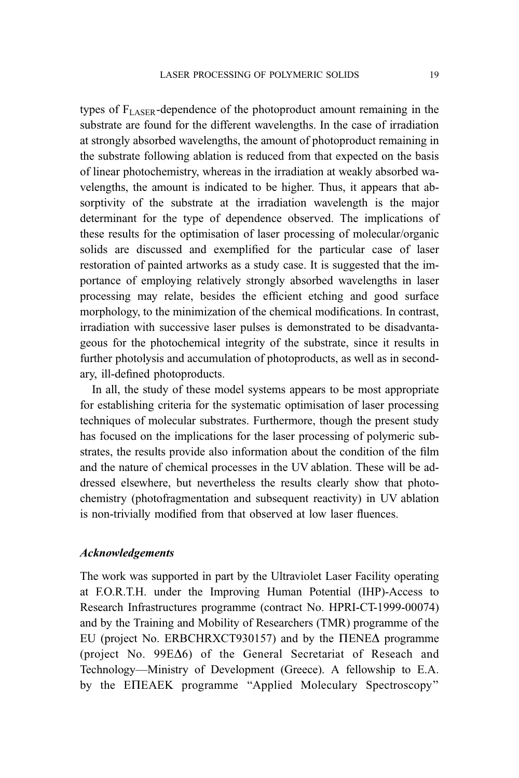types of FLASER-dependence of the photoproduct amount remaining in the substrate are found for the different wavelengths. In the case of irradiation at strongly absorbed wavelengths, the amount of photoproduct remaining in the substrate following ablation is reduced from that expected on the basis of linear photochemistry, whereas in the irradiation at weakly absorbed wavelengths, the amount is indicated to be higher. Thus, it appears that absorptivity of the substrate at the irradiation wavelength is the major determinant for the type of dependence observed. The implications of these results for the optimisation of laser processing of molecular/organic solids are discussed and exemplified for the particular case of laser restoration of painted artworks as a study case. It is suggested that the importance of employing relatively strongly absorbed wavelengths in laser processing may relate, besides the efficient etching and good surface morphology, to the minimization of the chemical modifications. In contrast, irradiation with successive laser pulses is demonstrated to be disadvantageous for the photochemical integrity of the substrate, since it results in further photolysis and accumulation of photoproducts, as well as in secondary, ill-defined photoproducts.

In all, the study of these model systems appears to be most appropriate for establishing criteria for the systematic optimisation of laser processing techniques of molecular substrates. Furthermore, though the present study has focused on the implications for the laser processing of polymeric substrates, the results provide also information about the condition of the film and the nature of chemical processes in the UV ablation. These will be addressed elsewhere, but nevertheless the results clearly show that photochemistry (photofragmentation and subsequent reactivity) in UV ablation is non-trivially modified from that observed at low laser fluences.

#### Acknowledgements

The work was supported in part by the Ultraviolet Laser Facility operating at F.O.R.T.H. under the Improving Human Potential (IHP)-Access to Research Infrastructures programme (contract No. HPRI-CT-1999-00074) and by the Training and Mobility of Researchers (TMR) programme of the EU (project No. ERBCHRXCT930157) and by the  $\Pi$ ENE $\Delta$  programme (project No.  $99E\Delta 6$ ) of the General Secretariat of Reseach and Technology—Ministry of Development (Greece). A fellowship to E.A. by the EITEAEK programme "Applied Moleculary Spectroscopy"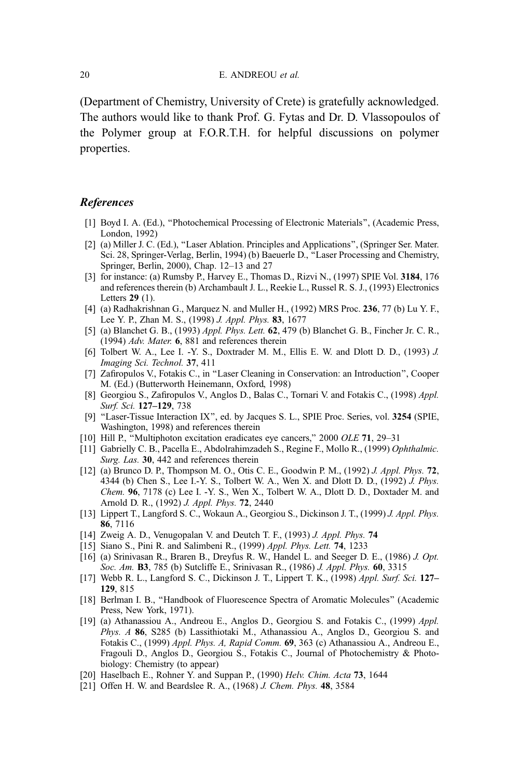(Department of Chemistry, University of Crete) is gratefully acknowledged. The authors would like to thank Prof. G. Fytas and Dr. D. Vlassopoulos of the Polymer group at F.O.R.T.H. for helpful discussions on polymer properties.

#### References

- [1] Boyd I. A. (Ed.), "Photochemical Processing of Electronic Materials", (Academic Press, London, 1992)
- [2] (a) Miller J. C. (Ed.), ''Laser Ablation. Principles and Applications'', (Springer Ser. Mater. Sci. 28, Springer-Verlag, Berlin, 1994) (b) Baeuerle D., ''Laser Processing and Chemistry, Springer, Berlin, 2000), Chap. 12–13 and 27
- [3] for instance: (a) Rumsby P., Harvey E., Thomas D., Rizvi N., (1997) SPIE Vol. 3184, 176 and references therein (b) Archambault J. L., Reekie L., Russel R. S. J., (1993) Electronics Letters 29 (1).
- [4] (a) Radhakrishnan G., Marquez N. and Muller H., (1992) MRS Proc. 236, 77 (b) Lu Y. F., Lee Y. P., Zhan M. S., (1998) J. Appl. Phys. 83, 1677
- [5] (a) Blanchet G. B., (1993) Appl. Phys. Lett. 62, 479 (b) Blanchet G. B., Fincher Jr. C. R., (1994) Adv. Mater. 6, 881 and references therein
- [6] Tolbert W. A., Lee I. -Y. S., Doxtrader M. M., Ellis E. W. and Dlott D. D., (1993) J. Imaging Sci. Technol. 37, 411
- [7] Zafiropulos V., Fotakis C., in ''Laser Cleaning in Conservation: an Introduction'', Cooper M. (Ed.) (Butterworth Heinemann, Oxford, 1998)
- [8] Georgiou S., Zafiropulos V., Anglos D., Balas C., Tornari V. and Fotakis C., (1998) Appl. Surf. Sci. 127–129, 738
- [9] ''Laser-Tissue Interaction IX'', ed. by Jacques S. L., SPIE Proc. Series, vol. 3254 (SPIE, Washington, 1998) and references therein
- [10] Hill P., "Multiphoton excitation eradicates eye cancers," 2000 OLE 71, 29–31
- [11] Gabrielly C. B., Pacella E., Abdolrahimzadeh S., Regine F., Mollo R., (1999) Ophthalmic. Surg. Las. 30, 442 and references therein
- [12] (a) Brunco D. P., Thompson M. O., Otis C. E., Goodwin P. M., (1992) J. Appl. Phys. 72, 4344 (b) Chen S., Lee I.-Y. S., Tolbert W. A., Wen X. and Dlott D. D., (1992) J. Phys. Chem. 96, 7178 (c) Lee I. -Y. S., Wen X., Tolbert W. A., Dlott D. D., Doxtader M. and Arnold D. R., (1992) J. Appl. Phys. 72, 2440
- [13] Lippert T., Langford S. C., Wokaun A., Georgiou S., Dickinson J. T., (1999) J. Appl. Phys. 86, 7116
- [14] Zweig A. D., Venugopalan V. and Deutch T. F., (1993) J. Appl. Phys. 74
- [15] Siano S., Pini R. and Salimbeni R., (1999) Appl. Phys. Lett. **74**, 1233
- [16] (a) Srinivasan R., Braren B., Dreyfus R. W., Handel L. and Seeger D. E., (1986) J. Opt. Soc. Am. B3, 785 (b) Sutcliffe E., Srinivasan R., (1986) J. Appl. Phys. 60, 3315
- [17] Webb R. L., Langford S. C., Dickinson J. T., Lippert T. K., (1998) Appl. Surf. Sci. 127– 129, 815
- [18] Berlman I. B., ''Handbook of Fluorescence Spectra of Aromatic Molecules'' (Academic Press, New York, 1971).
- [19] (a) Athanassiou A., Andreou E., Anglos D., Georgiou S. and Fotakis C., (1999) Appl. Phys. A 86, S285 (b) Lassithiotaki M., Athanassiou A., Anglos D., Georgiou S. and Fotakis C., (1999) Appl. Phys. A, Rapid Comm. 69, 363 (c) Athanassiou A., Andreou E., Fragouli D., Anglos D., Georgiou S., Fotakis C., Journal of Photochemistry & Photobiology: Chemistry (to appear)
- [20] Haselbach E., Rohner Y. and Suppan P., (1990) Helv. Chim. Acta 73, 1644
- [21] Offen H. W. and Beardslee R. A., (1968) *J. Chem. Phys.* **48**, 3584